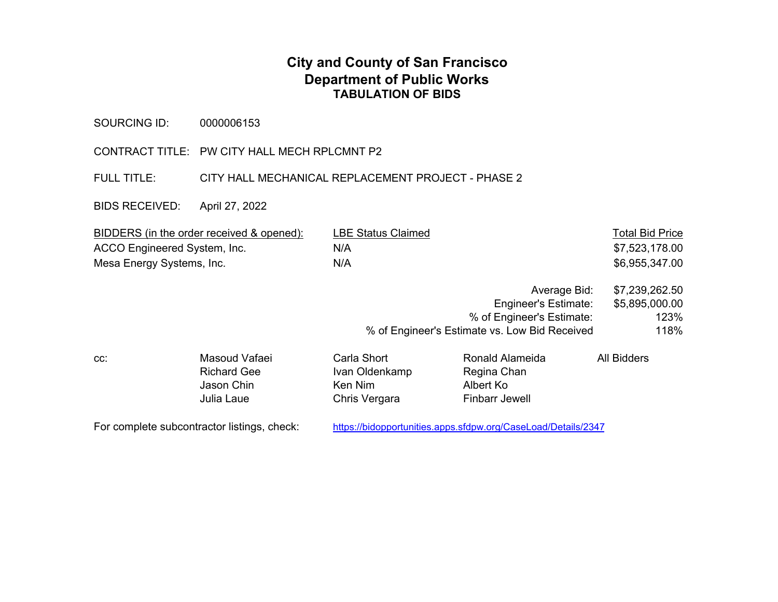## **City and County of San Francisco Department of Public Works TABULATION OF BIDS**

SOURCING ID: 0000006153

CONTRACT TITLE: PW CITY HALL MECH RPLCMNT P2

FULL TITLE: CITY HALL MECHANICAL REPLACEMENT PROJECT - PHASE 2

BIDS RECEIVED: April 27, 2022

| BIDDERS (in the order received & opened): | <b>LBE Status Claimed</b> | <b>Total Bid Price</b> |
|-------------------------------------------|---------------------------|------------------------|
| ACCO Engineered System, Inc.              | N/A                       | \$7,523,178.00         |
| Mesa Energy Systems, Inc.                 | N/A                       | \$6,955,347.00         |

| Average Bid:                                  | \$7,239,262.50 |
|-----------------------------------------------|----------------|
| Engineer's Estimate:                          | \$5,895,000.00 |
| % of Engineer's Estimate:                     | 123%           |
| % of Engineer's Estimate vs. Low Bid Received | 118%           |
|                                               |                |

| Masoud Vafaei      | Carla Short    | Ronald Alameida | All Bidders |
|--------------------|----------------|-----------------|-------------|
| <b>Richard Gee</b> | Ivan Oldenkamp | Regina Chan     |             |
| Jason Chin         | Ken Nim        | Albert Ko       |             |
| Julia Laue         | Chris Vergara  | Finbarr Jewell  |             |
|                    |                |                 |             |

For complete subcontractor listings, check: https://bidopportunities.apps.sfdpw.org/CaseLoad/Details/2347